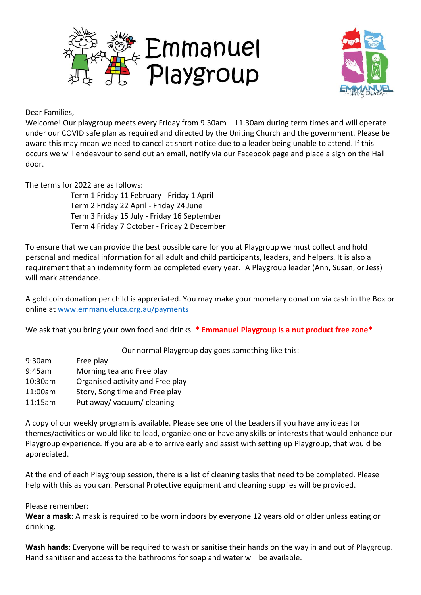



Dear Families,

Welcome! Our playgroup meets every Friday from 9.30am – 11.30am during term times and will operate under our COVID safe plan as required and directed by the Uniting Church and the government. Please be aware this may mean we need to cancel at short notice due to a leader being unable to attend. If this occurs we will endeavour to send out an email, notify via our Facebook page and place a sign on the Hall door.

The terms for 2022 are as follows:

Term 1 Friday 11 February - Friday 1 April Term 2 Friday 22 April - Friday 24 June Term 3 Friday 15 July - Friday 16 September Term 4 Friday 7 October - Friday 2 December

To ensure that we can provide the best possible care for you at Playgroup we must collect and hold personal and medical information for all adult and child participants, leaders, and helpers. It is also a requirement that an indemnity form be completed every year. A Playgroup leader (Ann, Susan, or Jess) will mark attendance.

A gold coin donation per child is appreciated. You may make your monetary donation via cash in the Box or online at [www.emmanueluca.org.au/payments](http://www.emmanueluca.org.au/payments)

We ask that you bring your own food and drinks. **\* Emmanuel Playgroup is a nut product free zone**\*

Our normal Playgroup day goes something like this:

- 9:30am Free play
- 9:45am Morning tea and Free play
- 10:30am Organised activity and Free play
- 11:00am Story, Song time and Free play
- 11:15am Put away/ vacuum/ cleaning

A copy of our weekly program is available. Please see one of the Leaders if you have any ideas for themes/activities or would like to lead, organize one or have any skills or interests that would enhance our Playgroup experience. If you are able to arrive early and assist with setting up Playgroup, that would be appreciated.

At the end of each Playgroup session, there is a list of cleaning tasks that need to be completed. Please help with this as you can. Personal Protective equipment and cleaning supplies will be provided.

## Please remember:

**Wear a mask**: A mask is required to be worn indoors by everyone 12 years old or older unless eating or drinking.

**Wash hands**: Everyone will be required to wash or sanitise their hands on the way in and out of Playgroup. Hand sanitiser and access to the bathrooms for soap and water will be available.